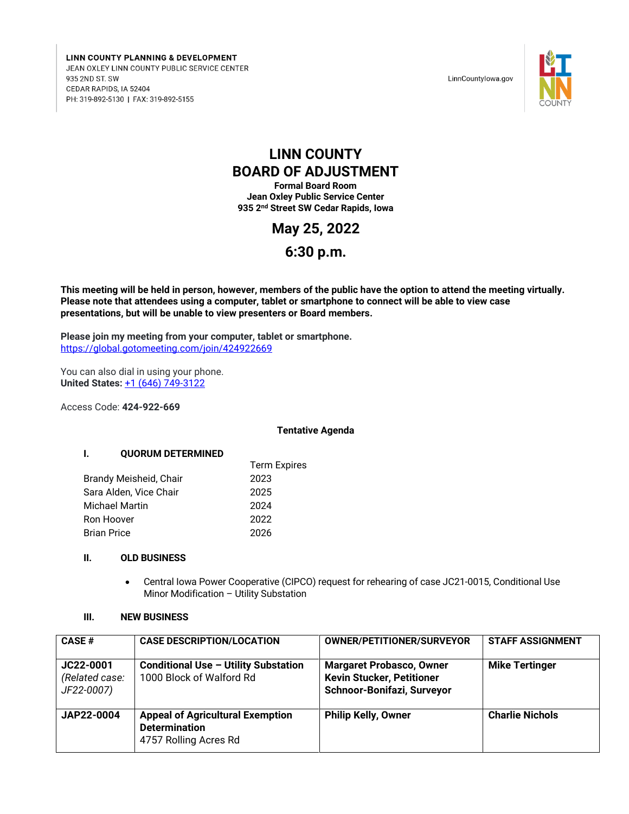LINN COUNTY PLANNING & DEVELOPMENT JEAN OXLEY LINN COUNTY PUBLIC SERVICE CENTER 935 2ND ST. SW CEDAR RAPIDS, IA 52404 PH: 319-892-5130 | FAX: 319-892-5155

LinnCountylowa.gov



# **LINN COUNTY BOARD OF ADJUSTMENT**

**Formal Board Room Jean Oxley Public Service Center 935 2nd Street SW Cedar Rapids, Iowa**

**May 25, 2022**

## **6:30 p.m.**

**This meeting will be held in person, however, members of the public have the option to attend the meeting virtually. Please note that attendees using a computer, tablet or smartphone to connect will be able to view case presentations, but will be unable to view presenters or Board members.**

**Please join my meeting from your computer, tablet or smartphone.** <https://global.gotomeeting.com/join/424922669>

You can also dial in using your phone. **United States:** [+1 \(646\) 749-3122](tel:+16467493122,,424922669)

Access Code: **424-922-669**

#### **Tentative Agenda**

#### **I. QUORUM DETERMINED**

|                        | <b>Term Expires</b> |  |
|------------------------|---------------------|--|
| Brandy Meisheid, Chair | 2023                |  |
| Sara Alden, Vice Chair | 2025                |  |
| Michael Martin         | 2024                |  |
| Ron Hoover             | 2022                |  |
| Brian Price            | 2026                |  |

#### **II. OLD BUSINESS**

 Central Iowa Power Cooperative (CIPCO) request for rehearing of case JC21-0015, Conditional Use Minor Modification – Utility Substation

### **III. NEW BUSINESS**

| CASE#                                     | <b>CASE DESCRIPTION/LOCATION</b>                                                         | <b>OWNER/PETITIONER/SURVEYOR</b>                                                                  | <b>STAFF ASSIGNMENT</b> |
|-------------------------------------------|------------------------------------------------------------------------------------------|---------------------------------------------------------------------------------------------------|-------------------------|
| JC22-0001<br>(Related case:<br>JF22-0007) | <b>Conditional Use - Utility Substation</b><br>1000 Block of Walford Rd                  | <b>Margaret Probasco, Owner</b><br><b>Kevin Stucker, Petitioner</b><br>Schnoor-Bonifazi, Surveyor | <b>Mike Tertinger</b>   |
| JAP22-0004                                | <b>Appeal of Agricultural Exemption</b><br><b>Determination</b><br>4757 Rolling Acres Rd | <b>Philip Kelly, Owner</b>                                                                        | <b>Charlie Nichols</b>  |